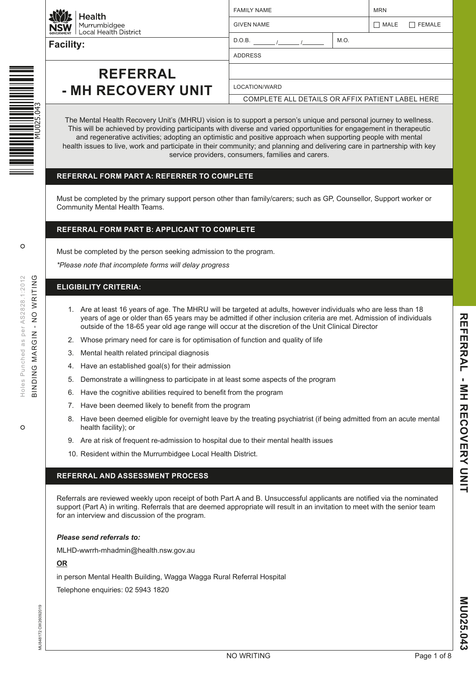

Health Murrumbidgee<br>Local Health District

**Facility:**

## **REFERRAL - MH RECOVERY UNIT**

| <b>GIVEN NAME</b> |      | MALE | $\Box$ FEMALE |
|-------------------|------|------|---------------|
| D.O.B.            | M.O. |      |               |
| <b>ADDRESS</b>    |      |      |               |
|                   |      |      |               |
| LOCATION/WARD     |      |      |               |

FAMILY NAME NET AND THE MRN

COMPLETE ALL DETAILS OR AFFIX PATIENT LABEL HERE

The Mental Health Recovery Unit's (MHRU) vision is to support a person's unique and personal journey to wellness. This will be achieved by providing participants with diverse and varied opportunities for engagement in therapeutic and regenerative activities; adopting an optimistic and positive approach when supporting people with mental health issues to live, work and participate in their community; and planning and delivering care in partnership with key service providers, consumers, families and carers.

## **REFERRAL FORM PART A: REFERRER TO COMPLETE**

Must be completed by the primary support person other than family/carers; such as GP, Counsellor, Support worker or Community Mental Health Teams.

## **REFERRAL FORM PART B: APPLICANT TO COMPLETE**

Must be completed by the person seeking admission to the program.

*\*Please note that incomplete forms will delay progress*

## **ELIGIBILITY CRITERIA:**

- 1. Are at least 16 years of age. The MHRU will be targeted at adults, however individuals who are less than 18 years of age or older than 65 years may be admitted if other inclusion criteria are met. Admission of individuals outside of the 18-65 year old age range will occur at the discretion of the Unit Clinical Director
- 2. Whose primary need for care is for optimisation of function and quality of life
- 3. Mental health related principal diagnosis
- 4. Have an established goal(s) for their admission
- 5. Demonstrate a willingness to participate in at least some aspects of the program
- 6. Have the cognitive abilities required to benefit from the program
- 7. Have been deemed likely to benefit from the program
- 8. Have been deemed eligible for overnight leave by the treating psychiatrist (if being admitted from an acute mental health facility); or
- 9. Are at risk of frequent re-admission to hospital due to their mental health issues
- 10. Resident within the Murrumbidgee Local Health District.

#### **REFERRAL AND ASSESSMENT PROCESS**

Referrals are reviewed weekly upon receipt of both Part A and B. Unsuccessful applicants are notified via the nominated support (Part A) in writing. Referrals that are deemed appropriate will result in an invitation to meet with the senior team for an interview and discussion of the program.

#### *Please send referrals to:*

MLHD-wwrrh-mhadmin@health.nsw.gov.au

#### **OR**

in person Mental Health Building, Wagga Wagga Rural Referral Hospital

Telephone enquiries: 02 5943 1820

 $\Omega$ 

 $\circ$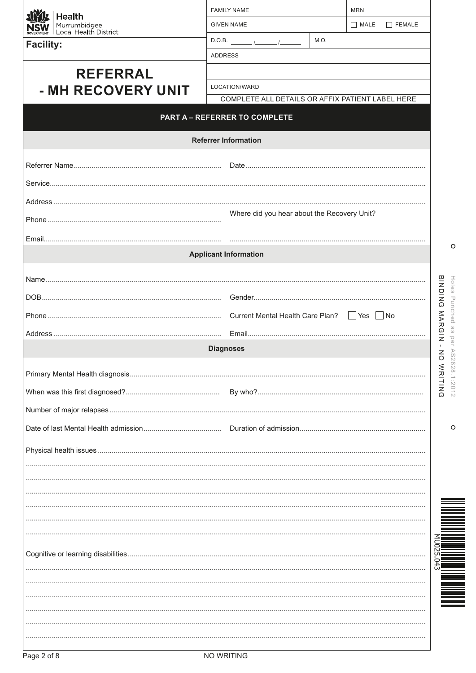| Health                                | <b>FAMILY NAME</b>                                                                                                                                                                                                                                                                                                                                                                                                       | <b>MRN</b>                                       |                                 |
|---------------------------------------|--------------------------------------------------------------------------------------------------------------------------------------------------------------------------------------------------------------------------------------------------------------------------------------------------------------------------------------------------------------------------------------------------------------------------|--------------------------------------------------|---------------------------------|
| Murrumbidgee<br>Local Health District | <b>GIVEN NAME</b>                                                                                                                                                                                                                                                                                                                                                                                                        | MATE<br>FEMALE                                   |                                 |
| <b>Facility:</b>                      | D.O.B. $\frac{1}{\sqrt{1-\frac{1}{2}}}\frac{1}{\sqrt{1-\frac{1}{2}}}\frac{1}{\sqrt{1-\frac{1}{2}}}\frac{1}{\sqrt{1-\frac{1}{2}}}\frac{1}{\sqrt{1-\frac{1}{2}}}\frac{1}{\sqrt{1-\frac{1}{2}}}\frac{1}{\sqrt{1-\frac{1}{2}}}\frac{1}{\sqrt{1-\frac{1}{2}}}\frac{1}{\sqrt{1-\frac{1}{2}}}\frac{1}{\sqrt{1-\frac{1}{2}}}\frac{1}{\sqrt{1-\frac{1}{2}}}\frac{1}{\sqrt{1-\frac{1}{2}}}\frac{1}{\sqrt{1-\frac{1}{2}}}\frac{1}{$ | M.O.                                             |                                 |
|                                       | <b>ADDRESS</b>                                                                                                                                                                                                                                                                                                                                                                                                           |                                                  |                                 |
| <b>REFERRAL</b>                       |                                                                                                                                                                                                                                                                                                                                                                                                                          |                                                  |                                 |
| - MH RECOVERY UNIT                    | LOCATION/WARD                                                                                                                                                                                                                                                                                                                                                                                                            |                                                  |                                 |
|                                       |                                                                                                                                                                                                                                                                                                                                                                                                                          | COMPLETE ALL DETAILS OR AFFIX PATIENT LABEL HERE |                                 |
|                                       | <b>PART A - REFERRER TO COMPLETE</b>                                                                                                                                                                                                                                                                                                                                                                                     |                                                  |                                 |
|                                       | <b>Referrer Information</b>                                                                                                                                                                                                                                                                                                                                                                                              |                                                  |                                 |
|                                       |                                                                                                                                                                                                                                                                                                                                                                                                                          |                                                  |                                 |
|                                       |                                                                                                                                                                                                                                                                                                                                                                                                                          |                                                  |                                 |
|                                       |                                                                                                                                                                                                                                                                                                                                                                                                                          |                                                  |                                 |
|                                       |                                                                                                                                                                                                                                                                                                                                                                                                                          | Where did you hear about the Recovery Unit?      |                                 |
|                                       |                                                                                                                                                                                                                                                                                                                                                                                                                          |                                                  |                                 |
|                                       |                                                                                                                                                                                                                                                                                                                                                                                                                          |                                                  |                                 |
|                                       | <b>Applicant Information</b>                                                                                                                                                                                                                                                                                                                                                                                             |                                                  | $\circ$                         |
|                                       |                                                                                                                                                                                                                                                                                                                                                                                                                          |                                                  |                                 |
|                                       |                                                                                                                                                                                                                                                                                                                                                                                                                          |                                                  | <b>BINDING</b><br>Holes         |
|                                       |                                                                                                                                                                                                                                                                                                                                                                                                                          |                                                  | Punched                         |
|                                       |                                                                                                                                                                                                                                                                                                                                                                                                                          |                                                  | MARGIN                          |
|                                       |                                                                                                                                                                                                                                                                                                                                                                                                                          |                                                  |                                 |
|                                       | <b>Diagnoses</b>                                                                                                                                                                                                                                                                                                                                                                                                         |                                                  | ⋗<br>$\overline{6}$<br>$\omega$ |
|                                       |                                                                                                                                                                                                                                                                                                                                                                                                                          |                                                  | 828.1                           |
|                                       |                                                                                                                                                                                                                                                                                                                                                                                                                          |                                                  | WRITING<br>:201                 |
|                                       |                                                                                                                                                                                                                                                                                                                                                                                                                          |                                                  |                                 |
|                                       |                                                                                                                                                                                                                                                                                                                                                                                                                          |                                                  |                                 |
|                                       |                                                                                                                                                                                                                                                                                                                                                                                                                          |                                                  | O                               |
|                                       |                                                                                                                                                                                                                                                                                                                                                                                                                          |                                                  |                                 |
|                                       |                                                                                                                                                                                                                                                                                                                                                                                                                          |                                                  |                                 |
|                                       |                                                                                                                                                                                                                                                                                                                                                                                                                          |                                                  |                                 |
|                                       |                                                                                                                                                                                                                                                                                                                                                                                                                          |                                                  |                                 |
|                                       |                                                                                                                                                                                                                                                                                                                                                                                                                          |                                                  |                                 |
|                                       |                                                                                                                                                                                                                                                                                                                                                                                                                          |                                                  |                                 |
|                                       |                                                                                                                                                                                                                                                                                                                                                                                                                          |                                                  |                                 |
|                                       |                                                                                                                                                                                                                                                                                                                                                                                                                          |                                                  |                                 |
|                                       |                                                                                                                                                                                                                                                                                                                                                                                                                          |                                                  |                                 |
|                                       |                                                                                                                                                                                                                                                                                                                                                                                                                          |                                                  |                                 |
|                                       |                                                                                                                                                                                                                                                                                                                                                                                                                          |                                                  |                                 |
|                                       |                                                                                                                                                                                                                                                                                                                                                                                                                          |                                                  |                                 |
|                                       |                                                                                                                                                                                                                                                                                                                                                                                                                          |                                                  |                                 |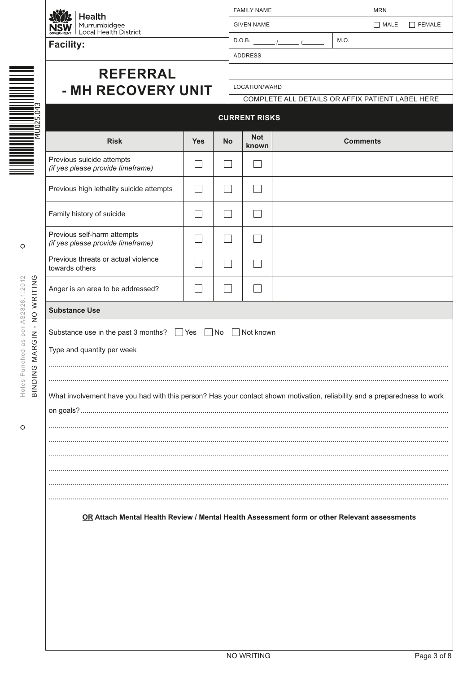| VERNMENT<br>GO |  |
|----------------|--|

Facility:

| $\left \mathbf{E}\right $ Health                                                   |
|------------------------------------------------------------------------------------|
| $\left  \widetilde{\textbf{W}} \right $ Murrumbidgee<br>MENT Local Health District |

| <b>FAMILY NAME</b> |      | <b>MRN</b> |             |  |
|--------------------|------|------------|-------------|--|
| <b>GIVEN NAME</b>  |      |            | MALE FEMALE |  |
| D.O.B.             | M.O. |            |             |  |
| <b>ADDRESS</b>     |      |            |             |  |
|                    |      |            |             |  |
| LOCATION/WARD      |      |            |             |  |

| Ξ |                                                                        | r |
|---|------------------------------------------------------------------------|---|
|   | $\mathcal{L}^{\text{max}}_{\text{max}}$<br><b>STATISTICS</b><br>$\sim$ |   |
|   |                                                                        |   |
|   |                                                                        |   |

 $\circ$ 

Holes Punched as per AS2828.1:2012 BINDING MARGIN - NO WRITING

 $\circ$ 

# **REFERRAL** - MH RECOVERY UNIT

COMPLETE ALL DETAILS OR AFFIX PATIENT LABEL HERE

|                                                                                              |            |           | UURREINI RIƏNƏ      |                                                                                                                           |  |  |
|----------------------------------------------------------------------------------------------|------------|-----------|---------------------|---------------------------------------------------------------------------------------------------------------------------|--|--|
| <b>Risk</b>                                                                                  | <b>Yes</b> | <b>No</b> | <b>Not</b><br>known | <b>Comments</b>                                                                                                           |  |  |
| Previous suicide attempts<br>(if yes please provide timeframe)                               |            |           |                     |                                                                                                                           |  |  |
| Previous high lethality suicide attempts                                                     |            |           |                     |                                                                                                                           |  |  |
| Family history of suicide                                                                    |            |           |                     |                                                                                                                           |  |  |
| Previous self-harm attempts<br>(if yes please provide timeframe)                             |            |           |                     |                                                                                                                           |  |  |
| Previous threats or actual violence<br>towards others                                        |            |           |                     |                                                                                                                           |  |  |
| Anger is an area to be addressed?                                                            |            |           |                     |                                                                                                                           |  |  |
| <b>Substance Use</b>                                                                         |            |           |                     |                                                                                                                           |  |  |
| Substance use in the past 3 months? ■ Yes<br>Type and quantity per week                      |            | $N$ o     | Not known           |                                                                                                                           |  |  |
|                                                                                              |            |           |                     |                                                                                                                           |  |  |
|                                                                                              |            |           |                     | What involvement have you had with this person? Has your contact shown motivation, reliability and a preparedness to work |  |  |
|                                                                                              |            |           |                     |                                                                                                                           |  |  |
|                                                                                              |            |           |                     |                                                                                                                           |  |  |
|                                                                                              |            |           |                     |                                                                                                                           |  |  |
|                                                                                              |            |           |                     |                                                                                                                           |  |  |
|                                                                                              |            |           |                     |                                                                                                                           |  |  |
| OR Attach Mental Health Review / Mental Health Assessment form or other Relevant assessments |            |           |                     |                                                                                                                           |  |  |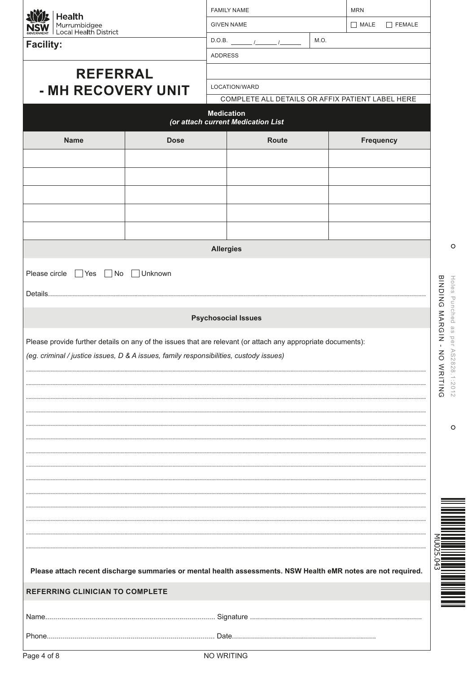| Health                                                                                                        |             |                  | <b>FAMILY NAME</b>                                      |  | <b>MRN</b>            |                       |
|---------------------------------------------------------------------------------------------------------------|-------------|------------------|---------------------------------------------------------|--|-----------------------|-----------------------|
| Murrumbidgee<br>  Local Health District<br><b>NSW</b>                                                         |             |                  | <b>GIVEN NAME</b>                                       |  | MATE<br>$\Box$ FEMALE |                       |
| M.O.<br>D.O.B. $\frac{1}{\sqrt{2}}$<br><b>Facility:</b>                                                       |             |                  |                                                         |  |                       |                       |
|                                                                                                               |             | ADDRESS          |                                                         |  |                       |                       |
| <b>REFERRAL</b>                                                                                               |             |                  |                                                         |  |                       |                       |
| - MH RECOVERY UNIT                                                                                            |             |                  | LOCATION/WARD                                           |  |                       |                       |
|                                                                                                               |             |                  | COMPLETE ALL DETAILS OR AFFIX PATIENT LABEL HERE        |  |                       |                       |
|                                                                                                               |             |                  | <b>Medication</b><br>(or attach current Medication List |  |                       |                       |
| <b>Name</b>                                                                                                   | <b>Dose</b> |                  | Route                                                   |  | <b>Frequency</b>      |                       |
|                                                                                                               |             |                  |                                                         |  |                       |                       |
|                                                                                                               |             |                  |                                                         |  |                       |                       |
|                                                                                                               |             |                  |                                                         |  |                       |                       |
|                                                                                                               |             |                  |                                                         |  |                       |                       |
|                                                                                                               |             |                  |                                                         |  |                       |                       |
|                                                                                                               |             |                  |                                                         |  |                       |                       |
|                                                                                                               |             | <b>Allergies</b> |                                                         |  |                       | O                     |
|                                                                                                               |             |                  |                                                         |  |                       |                       |
| Please circle ■ Yes ■ No ■ Unknown                                                                            |             |                  |                                                         |  |                       |                       |
|                                                                                                               |             |                  |                                                         |  |                       | Holes Punched as      |
|                                                                                                               |             |                  |                                                         |  |                       |                       |
|                                                                                                               |             |                  | <b>Psychosocial Issues</b>                              |  |                       |                       |
| Please provide further details on any of the issues that are relevant (or attach any appropriate documents):  |             |                  |                                                         |  |                       | BING MARGIN -<br>per  |
| (eg. criminal / justice issues, D & A issues, family responsibilities, custody issues)                        |             |                  |                                                         |  |                       | $\infty$<br>$\leq$    |
|                                                                                                               |             |                  |                                                         |  |                       |                       |
|                                                                                                               |             |                  |                                                         |  |                       | 828.1:2012<br>WRITING |
|                                                                                                               |             |                  |                                                         |  |                       |                       |
|                                                                                                               |             |                  |                                                         |  |                       |                       |
|                                                                                                               |             |                  |                                                         |  |                       | $\circ$               |
|                                                                                                               |             |                  |                                                         |  |                       |                       |
|                                                                                                               |             |                  |                                                         |  |                       |                       |
|                                                                                                               |             |                  |                                                         |  |                       |                       |
|                                                                                                               |             |                  |                                                         |  |                       |                       |
|                                                                                                               |             |                  |                                                         |  |                       |                       |
|                                                                                                               |             |                  |                                                         |  |                       |                       |
|                                                                                                               |             |                  |                                                         |  |                       |                       |
|                                                                                                               |             |                  |                                                         |  |                       |                       |
|                                                                                                               |             |                  |                                                         |  |                       |                       |
| Please attach recent discharge summaries or mental health assessments. NSW Health eMR notes are not required. |             |                  |                                                         |  |                       |                       |
| REFERRING CLINICIAN TO COMPLETE                                                                               |             |                  |                                                         |  |                       |                       |
|                                                                                                               |             |                  |                                                         |  |                       |                       |
|                                                                                                               |             |                  |                                                         |  |                       |                       |
|                                                                                                               |             |                  |                                                         |  |                       |                       |
|                                                                                                               |             |                  |                                                         |  |                       |                       |

|  | NO WRITING |  |
|--|------------|--|
|--|------------|--|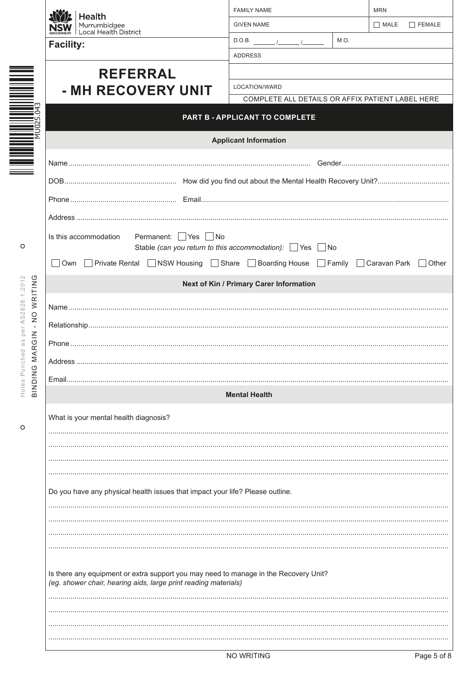|                                                                                                                                                         | <b>FAMILY NAME</b>                                                |                                                                                                                                                                                                                    | <b>MRN</b>                                                                                                                                                                                                               |  |  |  |  |
|---------------------------------------------------------------------------------------------------------------------------------------------------------|-------------------------------------------------------------------|--------------------------------------------------------------------------------------------------------------------------------------------------------------------------------------------------------------------|--------------------------------------------------------------------------------------------------------------------------------------------------------------------------------------------------------------------------|--|--|--|--|
|                                                                                                                                                         | <b>GIVEN NAME</b>                                                 |                                                                                                                                                                                                                    | MATE<br>$\Box$ FEMALE                                                                                                                                                                                                    |  |  |  |  |
| <b>Facility:</b>                                                                                                                                        | $D.O.B.$ $1$                                                      | M.O.                                                                                                                                                                                                               |                                                                                                                                                                                                                          |  |  |  |  |
|                                                                                                                                                         | <b>ADDRESS</b>                                                    |                                                                                                                                                                                                                    |                                                                                                                                                                                                                          |  |  |  |  |
| <b>REFERRAL</b>                                                                                                                                         |                                                                   |                                                                                                                                                                                                                    |                                                                                                                                                                                                                          |  |  |  |  |
| - MH RECOVERY UNIT                                                                                                                                      | LOCATION/WARD                                                     |                                                                                                                                                                                                                    |                                                                                                                                                                                                                          |  |  |  |  |
|                                                                                                                                                         |                                                                   |                                                                                                                                                                                                                    |                                                                                                                                                                                                                          |  |  |  |  |
|                                                                                                                                                         |                                                                   |                                                                                                                                                                                                                    |                                                                                                                                                                                                                          |  |  |  |  |
|                                                                                                                                                         |                                                                   |                                                                                                                                                                                                                    |                                                                                                                                                                                                                          |  |  |  |  |
|                                                                                                                                                         |                                                                   |                                                                                                                                                                                                                    |                                                                                                                                                                                                                          |  |  |  |  |
|                                                                                                                                                         |                                                                   |                                                                                                                                                                                                                    |                                                                                                                                                                                                                          |  |  |  |  |
|                                                                                                                                                         |                                                                   |                                                                                                                                                                                                                    |                                                                                                                                                                                                                          |  |  |  |  |
|                                                                                                                                                         |                                                                   |                                                                                                                                                                                                                    |                                                                                                                                                                                                                          |  |  |  |  |
| Is this accommodation<br>Permanent: Yes No                                                                                                              |                                                                   |                                                                                                                                                                                                                    |                                                                                                                                                                                                                          |  |  |  |  |
|                                                                                                                                                         |                                                                   |                                                                                                                                                                                                                    |                                                                                                                                                                                                                          |  |  |  |  |
|                                                                                                                                                         |                                                                   |                                                                                                                                                                                                                    |                                                                                                                                                                                                                          |  |  |  |  |
|                                                                                                                                                         |                                                                   |                                                                                                                                                                                                                    |                                                                                                                                                                                                                          |  |  |  |  |
|                                                                                                                                                         |                                                                   |                                                                                                                                                                                                                    |                                                                                                                                                                                                                          |  |  |  |  |
|                                                                                                                                                         |                                                                   |                                                                                                                                                                                                                    |                                                                                                                                                                                                                          |  |  |  |  |
|                                                                                                                                                         |                                                                   |                                                                                                                                                                                                                    |                                                                                                                                                                                                                          |  |  |  |  |
|                                                                                                                                                         |                                                                   |                                                                                                                                                                                                                    |                                                                                                                                                                                                                          |  |  |  |  |
| Email                                                                                                                                                   |                                                                   |                                                                                                                                                                                                                    |                                                                                                                                                                                                                          |  |  |  |  |
|                                                                                                                                                         |                                                                   |                                                                                                                                                                                                                    |                                                                                                                                                                                                                          |  |  |  |  |
| What is your mental health diagnosis?                                                                                                                   |                                                                   |                                                                                                                                                                                                                    |                                                                                                                                                                                                                          |  |  |  |  |
|                                                                                                                                                         |                                                                   |                                                                                                                                                                                                                    |                                                                                                                                                                                                                          |  |  |  |  |
|                                                                                                                                                         |                                                                   |                                                                                                                                                                                                                    |                                                                                                                                                                                                                          |  |  |  |  |
|                                                                                                                                                         |                                                                   |                                                                                                                                                                                                                    |                                                                                                                                                                                                                          |  |  |  |  |
|                                                                                                                                                         |                                                                   |                                                                                                                                                                                                                    |                                                                                                                                                                                                                          |  |  |  |  |
|                                                                                                                                                         |                                                                   |                                                                                                                                                                                                                    |                                                                                                                                                                                                                          |  |  |  |  |
|                                                                                                                                                         |                                                                   |                                                                                                                                                                                                                    |                                                                                                                                                                                                                          |  |  |  |  |
|                                                                                                                                                         |                                                                   |                                                                                                                                                                                                                    |                                                                                                                                                                                                                          |  |  |  |  |
|                                                                                                                                                         |                                                                   |                                                                                                                                                                                                                    |                                                                                                                                                                                                                          |  |  |  |  |
| Is there any equipment or extra support you may need to manage in the Recovery Unit?<br>(eg. shower chair, hearing aids, large print reading materials) |                                                                   |                                                                                                                                                                                                                    |                                                                                                                                                                                                                          |  |  |  |  |
|                                                                                                                                                         |                                                                   |                                                                                                                                                                                                                    |                                                                                                                                                                                                                          |  |  |  |  |
|                                                                                                                                                         |                                                                   |                                                                                                                                                                                                                    |                                                                                                                                                                                                                          |  |  |  |  |
|                                                                                                                                                         |                                                                   |                                                                                                                                                                                                                    |                                                                                                                                                                                                                          |  |  |  |  |
|                                                                                                                                                         | <b>Health</b><br>Murrumbidgee<br>Local Health District<br>Address | PART B - APPLICANT TO COMPLETE<br><b>Applicant Information</b><br>Next of Kin / Primary Carer Information<br><b>Mental Health</b><br>Do you have any physical health issues that impact your life? Please outline. | COMPLETE ALL DETAILS OR AFFIX PATIENT LABEL HERE<br>Stable (can you return to this accommodation): $\Box$ Yes $\Box$ No<br>□ Own □ Private Rental □ NSW Housing □ Share □ Boarding House □ Family □ Caravan Park □ Other |  |  |  |  |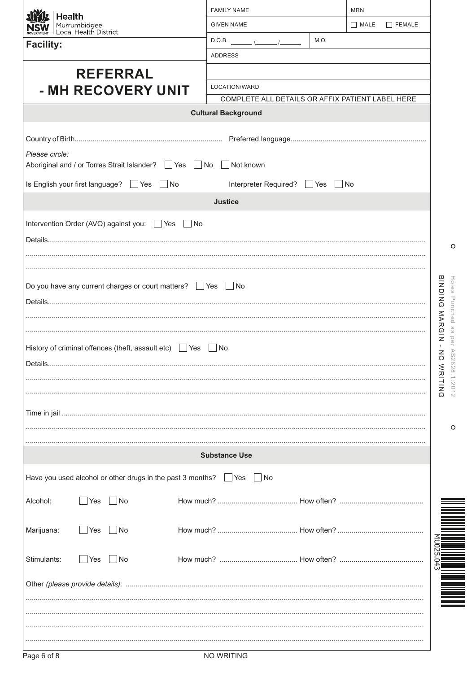|                  | <b>Health</b>                         |                                             |                                                              | <b>FAMILY NAME</b>                                                              |                                                  | <b>MRN</b>  |                                      |
|------------------|---------------------------------------|---------------------------------------------|--------------------------------------------------------------|---------------------------------------------------------------------------------|--------------------------------------------------|-------------|--------------------------------------|
|                  | Murrumbidgee<br>Local Health District |                                             |                                                              | <b>GIVEN NAME</b>                                                               |                                                  | $\Box$ MALE | $\Box$ FEMALE                        |
| <b>Facility:</b> |                                       |                                             |                                                              | $D.O.B.$ /                                                                      | M.O.                                             |             |                                      |
|                  |                                       |                                             |                                                              | <b>ADDRESS</b>                                                                  |                                                  |             |                                      |
|                  |                                       | <b>REFERRAL</b>                             |                                                              |                                                                                 |                                                  |             |                                      |
|                  |                                       | - MH RECOVERY UNIT                          |                                                              | LOCATION/WARD                                                                   | COMPLETE ALL DETAILS OR AFFIX PATIENT LABEL HERE |             |                                      |
|                  |                                       |                                             |                                                              | <b>Cultural Background</b>                                                      |                                                  |             |                                      |
|                  |                                       |                                             |                                                              |                                                                                 |                                                  |             |                                      |
|                  |                                       |                                             |                                                              |                                                                                 |                                                  |             |                                      |
| Please circle:   |                                       |                                             | Aboriginal and / or Torres Strait Islander? Ves No           | Not known                                                                       |                                                  |             |                                      |
|                  |                                       | Is English your first language? □ Yes       | No                                                           | Interpreter Required?                                                           | $\mathsf{Yes}$                                   | $\vert$ No  |                                      |
|                  |                                       |                                             |                                                              | <b>Justice</b>                                                                  |                                                  |             |                                      |
|                  |                                       | Intervention Order (AVO) against you: □ Yes | $\vert$ No                                                   |                                                                                 |                                                  |             |                                      |
|                  |                                       |                                             |                                                              |                                                                                 |                                                  |             |                                      |
|                  |                                       |                                             |                                                              |                                                                                 |                                                  |             | O                                    |
|                  |                                       |                                             |                                                              |                                                                                 |                                                  |             |                                      |
|                  |                                       |                                             | Do you have any current charges or court matters? □ Yes □ No |                                                                                 |                                                  |             | <b>BINDING</b><br>Holes              |
|                  |                                       |                                             |                                                              |                                                                                 |                                                  |             |                                      |
|                  |                                       |                                             |                                                              |                                                                                 |                                                  |             | Punched                              |
|                  |                                       |                                             |                                                              |                                                                                 |                                                  |             | <b>NARGIN</b><br>$\overline{\omega}$ |
|                  |                                       |                                             | History of criminal offences (theft, assault etc) J Yes      | No                                                                              |                                                  |             | $\overline{5}$<br>$\omega$           |
|                  |                                       |                                             |                                                              |                                                                                 |                                                  |             |                                      |
|                  |                                       |                                             |                                                              |                                                                                 |                                                  |             | 828.1:2012<br>WRITING                |
|                  |                                       |                                             |                                                              |                                                                                 |                                                  |             |                                      |
|                  |                                       |                                             |                                                              |                                                                                 |                                                  |             |                                      |
|                  |                                       |                                             |                                                              |                                                                                 |                                                  |             | O                                    |
|                  |                                       |                                             |                                                              | <b>Substance Use</b>                                                            |                                                  |             |                                      |
|                  |                                       |                                             |                                                              | Have you used alcohol or other drugs in the past 3 months? $\Box$ Yes $\Box$ No |                                                  |             |                                      |
| Alcohol:         | Yes                                   | No                                          |                                                              |                                                                                 |                                                  |             |                                      |
| Marijuana:       | Yes                                   | No                                          |                                                              |                                                                                 |                                                  |             |                                      |
|                  |                                       |                                             |                                                              |                                                                                 |                                                  |             |                                      |
| Stimulants:      | Yes                                   | No                                          |                                                              |                                                                                 |                                                  |             |                                      |
|                  |                                       |                                             |                                                              |                                                                                 |                                                  |             |                                      |
|                  |                                       |                                             |                                                              |                                                                                 |                                                  |             |                                      |
|                  |                                       |                                             |                                                              |                                                                                 |                                                  |             |                                      |
|                  |                                       |                                             |                                                              |                                                                                 |                                                  |             |                                      |
|                  |                                       |                                             |                                                              |                                                                                 |                                                  |             |                                      |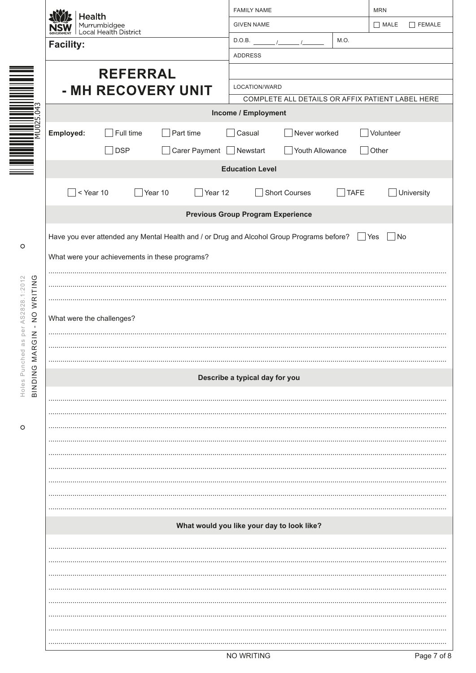|                             | <b>Health</b>                                                                             | <b>FAMILY NAME</b>                               | <b>MRN</b>                      |  |  |  |  |  |
|-----------------------------|-------------------------------------------------------------------------------------------|--------------------------------------------------|---------------------------------|--|--|--|--|--|
|                             | Murrumbidgee<br>Local Health District                                                     | <b>GIVEN NAME</b>                                | MATE<br>$\Box$ FEMALE           |  |  |  |  |  |
|                             | <b>Facility:</b>                                                                          | M.O.<br>D.O.B.                                   |                                 |  |  |  |  |  |
|                             |                                                                                           | <b>ADDRESS</b>                                   |                                 |  |  |  |  |  |
|                             | <b>REFERRAL</b>                                                                           |                                                  |                                 |  |  |  |  |  |
|                             | - MH RECOVERY UNIT                                                                        | LOCATION/WARD                                    |                                 |  |  |  |  |  |
| ⊅∎<br>$\circ$               |                                                                                           | COMPLETE ALL DETAILS OR AFFIX PATIENT LABEL HERE |                                 |  |  |  |  |  |
| "ທ<br>$\sim$                |                                                                                           | Income / Employment                              |                                 |  |  |  |  |  |
| iŠ                          | Employed:<br>Full time<br>$\Box$ Part time                                                | Never worked<br>Casual                           | Volunteer                       |  |  |  |  |  |
|                             | $\Box$ Carer Payment $\Box$ Newstart<br><b>DSP</b>                                        | Youth Allowance<br>$\mathcal{L}$                 | Other                           |  |  |  |  |  |
|                             |                                                                                           | <b>Education Level</b>                           |                                 |  |  |  |  |  |
|                             | $\Box$ < Year 10<br>Year 10<br>Year 12                                                    | <b>Short Courses</b><br><b>TAFE</b>              | University                      |  |  |  |  |  |
|                             |                                                                                           |                                                  |                                 |  |  |  |  |  |
|                             |                                                                                           | <b>Previous Group Program Experience</b>         |                                 |  |  |  |  |  |
|                             | Have you ever attended any Mental Health and / or Drug and Alcohol Group Programs before? |                                                  | $\Box$ Yes<br>$\blacksquare$ No |  |  |  |  |  |
| O                           | What were your achievements in these programs?                                            |                                                  |                                 |  |  |  |  |  |
|                             |                                                                                           |                                                  |                                 |  |  |  |  |  |
|                             |                                                                                           |                                                  |                                 |  |  |  |  |  |
| NO WRITING<br>AS2828.1:2012 |                                                                                           |                                                  |                                 |  |  |  |  |  |
| $\mathbf{L}$                | What were the challenges?                                                                 |                                                  |                                 |  |  |  |  |  |
| per<br>S<br>B               |                                                                                           |                                                  |                                 |  |  |  |  |  |
| <b>MARGIN</b>               |                                                                                           |                                                  |                                 |  |  |  |  |  |
| Punched                     |                                                                                           | Describe a typical day for you                   |                                 |  |  |  |  |  |
| BINDING<br>Holes            |                                                                                           |                                                  |                                 |  |  |  |  |  |
|                             |                                                                                           |                                                  |                                 |  |  |  |  |  |
| O                           |                                                                                           |                                                  |                                 |  |  |  |  |  |
|                             |                                                                                           |                                                  |                                 |  |  |  |  |  |
|                             |                                                                                           |                                                  |                                 |  |  |  |  |  |
|                             |                                                                                           |                                                  |                                 |  |  |  |  |  |
|                             |                                                                                           |                                                  |                                 |  |  |  |  |  |
|                             |                                                                                           |                                                  |                                 |  |  |  |  |  |
|                             |                                                                                           |                                                  |                                 |  |  |  |  |  |
|                             | What would you like your day to look like?                                                |                                                  |                                 |  |  |  |  |  |
|                             |                                                                                           |                                                  |                                 |  |  |  |  |  |
|                             |                                                                                           |                                                  |                                 |  |  |  |  |  |
|                             |                                                                                           |                                                  |                                 |  |  |  |  |  |
|                             |                                                                                           |                                                  |                                 |  |  |  |  |  |
|                             |                                                                                           |                                                  |                                 |  |  |  |  |  |
|                             |                                                                                           |                                                  |                                 |  |  |  |  |  |
|                             |                                                                                           |                                                  |                                 |  |  |  |  |  |